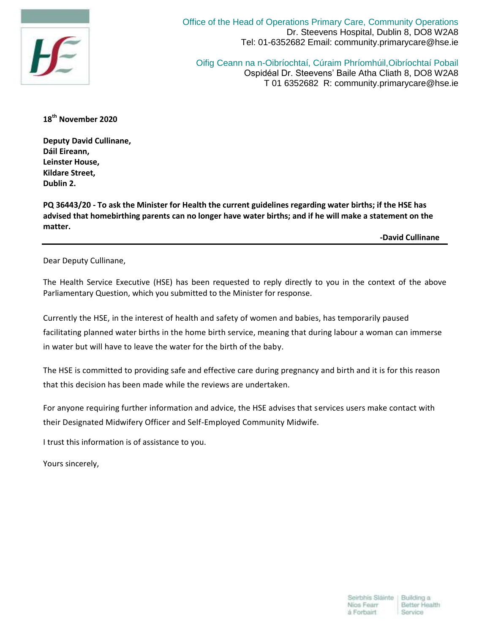

Office of the Head of Operations Primary Care, Community Operations Dr. Steevens Hospital, Dublin 8, DO8 W2A8 Tel: 01-6352682 Email: community.primarycare@hse.ie

Oifig Ceann na n-Oibríochtaí, Cúraim Phríomhúil,Oibríochtaí Pobail Ospidéal Dr. Steevens' Baile Atha Cliath 8, DO8 W2A8 T 01 6352682 R: community.primarycare@hse.ie

**18th November 2020**

**Deputy David Cullinane, Dáil Eireann, Leinster House, Kildare Street, Dublin 2.**

**PQ 36443/20 - To ask the Minister for Health the current guidelines regarding water births; if the HSE has advised that homebirthing parents can no longer have water births; and if he will make a statement on the matter.** 

 **-David Cullinane**

Dear Deputy Cullinane,

The Health Service Executive (HSE) has been requested to reply directly to you in the context of the above Parliamentary Question, which you submitted to the Minister for response.

Currently the HSE, in the interest of health and safety of women and babies, has temporarily paused facilitating planned water births in the home birth service, meaning that during labour a woman can immerse in water but will have to leave the water for the birth of the baby.

The HSE is committed to providing safe and effective care during pregnancy and birth and it is for this reason that this decision has been made while the reviews are undertaken.

For anyone requiring further information and advice, the HSE advises that services users make contact with their Designated Midwifery Officer and Self-Employed Community Midwife.

I trust this information is of assistance to you.

Yours sincerely,